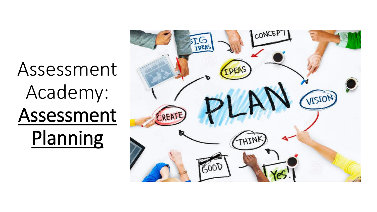# Assessment Academy: Assessment Planning

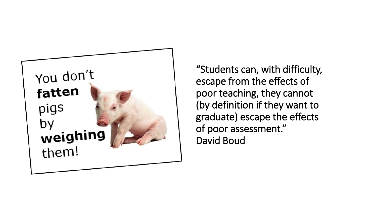

"Students can, with difficulty, escape from the effects of poor teaching, they cannot (by definition if they want to graduate) escape the effects of poor assessment." David Boud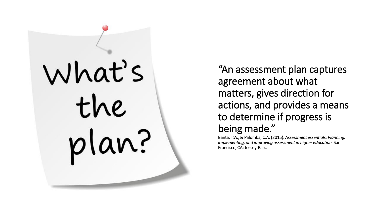

"An assessment plan captures agreement about what matters, gives direction for actions, and provides a means to determine if progress is being made."

Banta, T.W., & Palomba, C.A. (2015). *Assessment essentials: Planning, implementing, and improving assessment in higher education.* San Francisco, CA: Jossey-Bass.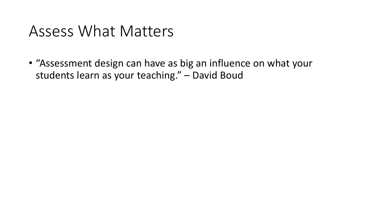#### Assess What Matters

• "Assessment design can have as big an influence on what your students learn as your teaching." – David Boud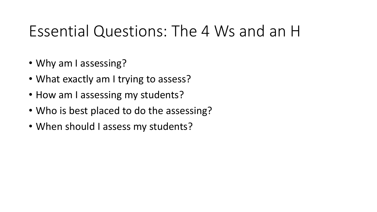### Essential Questions: The 4 Ws and an H

- Why am I assessing?
- What exactly am I trying to assess?
- How am I assessing my students?
- Who is best placed to do the assessing?
- When should I assess my students?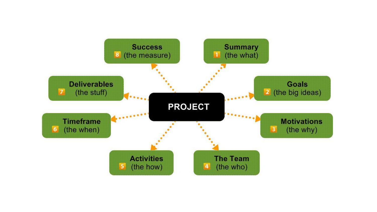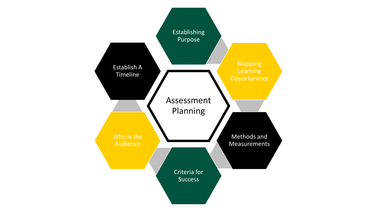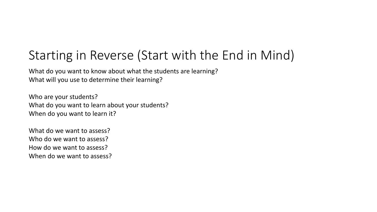#### Starting in Reverse (Start with the End in Mind)

What do you want to know about what the students are learning? What will you use to determine their learning?

Who are your students? What do you want to learn about your students? When do you want to learn it?

What do we want to assess? Who do we want to assess? How do we want to assess? When do we want to assess?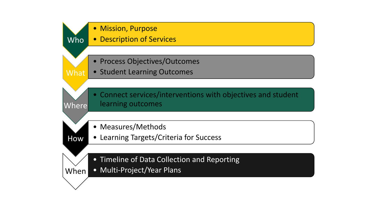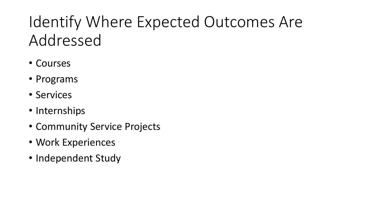## Identify Where Expected Outcomes Are Addressed

- Courses
- Programs
- Services
- Internships
- Community Service Projects
- Work Experiences
- Independent Study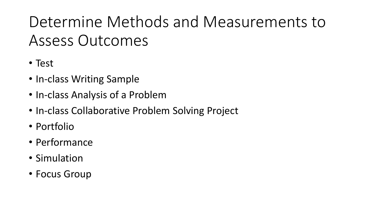# Determine Methods and Measurements to Assess Outcomes

- Test
- In-class Writing Sample
- In-class Analysis of a Problem
- In-class Collaborative Problem Solving Project
- Portfolio
- Performance
- Simulation
- Focus Group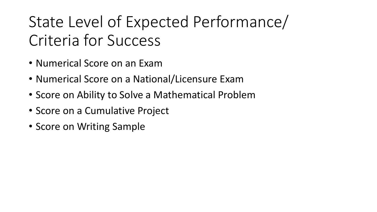# State Level of Expected Performance/ Criteria for Success

- Numerical Score on an Exam
- Numerical Score on a National/Licensure Exam
- Score on Ability to Solve a Mathematical Problem
- Score on a Cumulative Project
- Score on Writing Sample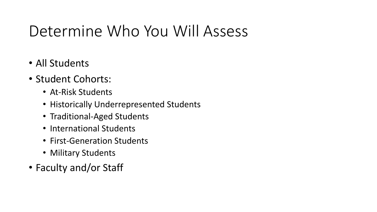### Determine Who You Will Assess

- All Students
- Student Cohorts:
	- At-Risk Students
	- Historically Underrepresented Students
	- Traditional-Aged Students
	- International Students
	- First-Generation Students
	- Military Students
- Faculty and/or Staff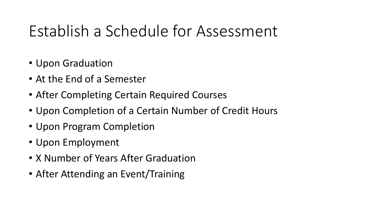## Establish a Schedule for Assessment

- Upon Graduation
- At the End of a Semester
- After Completing Certain Required Courses
- Upon Completion of a Certain Number of Credit Hours
- Upon Program Completion
- Upon Employment
- X Number of Years After Graduation
- After Attending an Event/Training